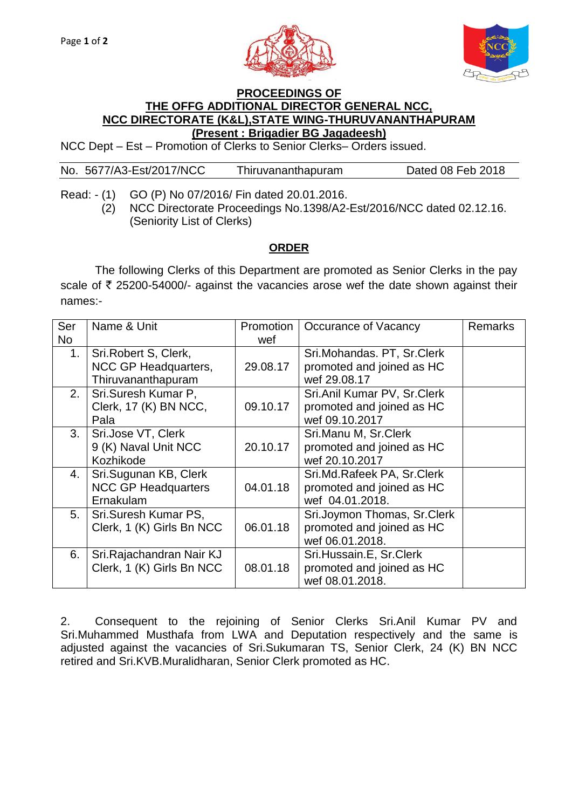



## **PROCEEDINGS OF THE OFFG ADDITIONAL DIRECTOR GENERAL NCC, NCC DIRECTORATE (K&L),STATE WING-THURUVANANTHAPURAM (Present : Brigadier BG Jagadeesh)**

NCC Dept – Est – Promotion of Clerks to Senior Clerks– Orders issued.

No. 5677/A3-Est/2017/NCC Thiruvananthapuram Dated 08 Feb 2018

Read: - (1) GO (P) No 07/2016/ Fin dated 20.01.2016. (2) NCC Directorate Proceedings No.1398/A2-Est/2016/NCC dated 02.12.16. (Seniority List of Clerks)

## **ORDER**

The following Clerks of this Department are promoted as Senior Clerks in the pay scale of  $\bar{\tau}$  25200-54000/- against the vacancies arose wef the date shown against their names:-

| Ser                         | Name & Unit                | Promotion                   | Occurance of Vacancy        | <b>Remarks</b> |
|-----------------------------|----------------------------|-----------------------------|-----------------------------|----------------|
| No                          |                            | wef                         |                             |                |
| 1.                          | Sri.Robert S, Clerk,       |                             | Sri.Mohandas. PT, Sr.Clerk  |                |
|                             | NCC GP Headquarters,       | 29.08.17                    | promoted and joined as HC   |                |
|                             | Thiruvananthapuram         |                             | wef 29,08.17                |                |
| 2.                          | Sri.Suresh Kumar P,        | Sri.Anil Kumar PV, Sr.Clerk |                             |                |
|                             | Clerk, 17 (K) BN NCC,      | 09.10.17                    | promoted and joined as HC   |                |
|                             | Pala                       |                             | wef 09.10.2017              |                |
| 3.                          | Sri.Jose VT, Clerk         |                             | Sri.Manu M, Sr.Clerk        |                |
|                             | 9 (K) Naval Unit NCC       | 20.10.17                    | promoted and joined as HC   |                |
|                             | Kozhikode                  |                             | wef 20.10.2017              |                |
| Sri.Sugunan KB, Clerk<br>4. |                            |                             | Sri.Md.Rafeek PA, Sr.Clerk  |                |
|                             | <b>NCC GP Headquarters</b> | 04.01.18                    | promoted and joined as HC   |                |
|                             | Ernakulam                  |                             | wef 04.01.2018.             |                |
| 5.                          | Sri.Suresh Kumar PS,       |                             | Sri.Joymon Thomas, Sr.Clerk |                |
|                             | Clerk, 1 (K) Girls Bn NCC  | 06.01.18                    | promoted and joined as HC   |                |
|                             |                            |                             | wef 06.01.2018.             |                |
| 6.                          | Sri. Rajachandran Nair KJ  |                             | Sri.Hussain.E, Sr.Clerk     |                |
|                             | Clerk, 1 (K) Girls Bn NCC  | 08.01.18                    | promoted and joined as HC   |                |
|                             |                            |                             | wef 08.01.2018.             |                |

2. Consequent to the rejoining of Senior Clerks Sri.Anil Kumar PV and Sri.Muhammed Musthafa from LWA and Deputation respectively and the same is adjusted against the vacancies of Sri.Sukumaran TS, Senior Clerk, 24 (K) BN NCC retired and Sri.KVB.Muralidharan, Senior Clerk promoted as HC.